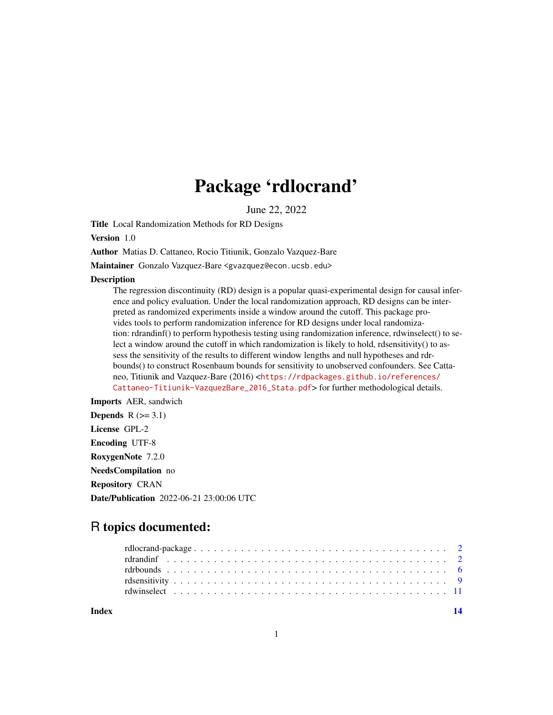## Package 'rdlocrand'

June 22, 2022

Title Local Randomization Methods for RD Designs

Version 1.0

Author Matias D. Cattaneo, Rocio Titiunik, Gonzalo Vazquez-Bare

Maintainer Gonzalo Vazquez-Bare <gvazquez@econ.ucsb.edu>

#### **Description**

The regression discontinuity (RD) design is a popular quasi-experimental design for causal inference and policy evaluation. Under the local randomization approach, RD designs can be interpreted as randomized experiments inside a window around the cutoff. This package provides tools to perform randomization inference for RD designs under local randomization: rdrandinf() to perform hypothesis testing using randomization inference, rdwinselect() to select a window around the cutoff in which randomization is likely to hold, rdsensitivity() to assess the sensitivity of the results to different window lengths and null hypotheses and rdrbounds() to construct Rosenbaum bounds for sensitivity to unobserved confounders. See Cattaneo, Titiunik and Vazquez-Bare (2016) <[https://rdpackages.github.io/references/](https://rdpackages.github.io/references/Cattaneo-Titiunik-VazquezBare_2016_Stata.pdf) [Cattaneo-Titiunik-VazquezBare\\_2016\\_Stata.pdf](https://rdpackages.github.io/references/Cattaneo-Titiunik-VazquezBare_2016_Stata.pdf)> for further methodological details.

Imports AER, sandwich

**Depends**  $R$  ( $>= 3.1$ ) License GPL-2 Encoding UTF-8 RoxygenNote 7.2.0 NeedsCompilation no Repository CRAN Date/Publication 2022-06-21 23:00:06 UTC

## R topics documented:

**Index** 2008 **[14](#page-13-0)**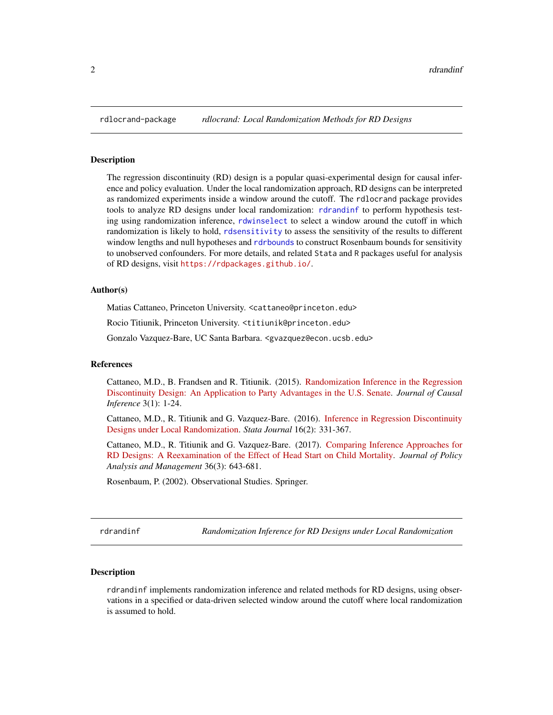<span id="page-1-0"></span>

#### Description

The regression discontinuity (RD) design is a popular quasi-experimental design for causal inference and policy evaluation. Under the local randomization approach, RD designs can be interpreted as randomized experiments inside a window around the cutoff. The rdlocrand package provides tools to analyze RD designs under local randomization: [rdrandinf](#page-1-1) to perform hypothesis testing using randomization inference, [rdwinselect](#page-10-1) to select a window around the cutoff in which randomization is likely to hold, [rdsensitivity](#page-8-1) to assess the sensitivity of the results to different window lengths and null hypotheses and [rdrbounds](#page-5-1) to construct Rosenbaum bounds for sensitivity to unobserved confounders. For more details, and related Stata and R packages useful for analysis of RD designs, visit <https://rdpackages.github.io/>.

#### Author(s)

Matias Cattaneo, Princeton University. <cattaneo@princeton.edu>

Rocio Titiunik, Princeton University. <titiunik@princeton.edu>

Gonzalo Vazquez-Bare, UC Santa Barbara. <gvazquez@econ.ucsb.edu>

#### References

Cattaneo, M.D., B. Frandsen and R. Titiunik. (2015). [Randomization Inference in the Regression](https://rdpackages.github.io/references/Cattaneo-Frandsen-Titiunik_2015_JCI.pdf) [Discontinuity Design: An Application to Party Advantages in the U.S. Senate.](https://rdpackages.github.io/references/Cattaneo-Frandsen-Titiunik_2015_JCI.pdf) *Journal of Causal Inference* 3(1): 1-24.

Cattaneo, M.D., R. Titiunik and G. Vazquez-Bare. (2016). [Inference in Regression Discontinuity](https://rdpackages.github.io/references/Cattaneo-Titiunik-VazquezBare_2016_Stata.pdf) [Designs under Local Randomization.](https://rdpackages.github.io/references/Cattaneo-Titiunik-VazquezBare_2016_Stata.pdf) *Stata Journal* 16(2): 331-367.

Cattaneo, M.D., R. Titiunik and G. Vazquez-Bare. (2017). [Comparing Inference Approaches for](https://rdpackages.github.io/references/Cattaneo-Titiunik-VazquezBare_2017_JPAM.pdf) [RD Designs: A Reexamination of the Effect of Head Start on Child Mortality.](https://rdpackages.github.io/references/Cattaneo-Titiunik-VazquezBare_2017_JPAM.pdf) *Journal of Policy Analysis and Management* 36(3): 643-681.

Rosenbaum, P. (2002). Observational Studies. Springer.

<span id="page-1-1"></span>rdrandinf *Randomization Inference for RD Designs under Local Randomization*

#### **Description**

rdrandinf implements randomization inference and related methods for RD designs, using observations in a specified or data-driven selected window around the cutoff where local randomization is assumed to hold.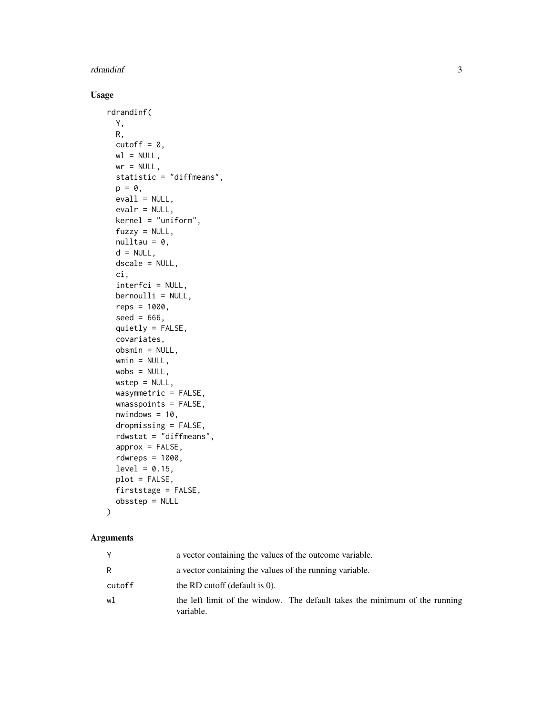#### rdrandinf 3

#### Usage

```
rdrandinf(
 Y,
 R,
 cutoff = 0,
 wl = NULL,wr = NULL,statistic = "diffmeans",
 p = 0,
 eval1 = NULL,evalr = NULL,kernel = "uniform",
  fuzzy = NULL,nulltau = 0,
  d = NULL,
 dscale = NULL,
 ci,
  interfci = NULL,
 bernoulli = NULL,
  reps = 1000,seed = 666,
  quietly = FALSE,
  covariates,
 obsmin = NULL,
 wmin = NULL,
 wobs = NULL,
 wstep = NULL,
 wasymmetric = FALSE,
 wmasspoints = FALSE,
  nwindown = 10,
  dropmissing = FALSE,
  rdwstat = "diffmeans",
  approx = FALSE,
  rdwreps = 1000,
 level = 0.15,
 plot = FALSE,
 firststage = FALSE,
 obsstep = NULL
\mathcal{L}
```

|        | a vector containing the values of the outcome variable.                                 |
|--------|-----------------------------------------------------------------------------------------|
| R      | a vector containing the values of the running variable.                                 |
| cutoff | the RD cutoff (default is $0$ ).                                                        |
| w1     | the left limit of the window. The default takes the minimum of the running<br>variable. |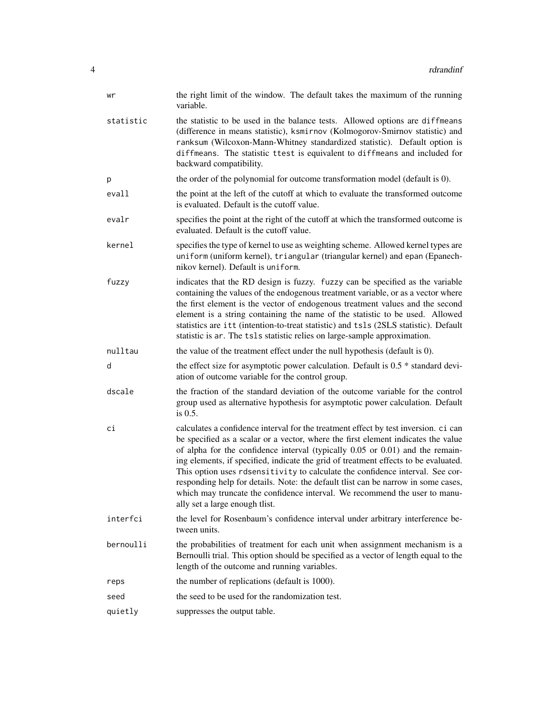| wr        | the right limit of the window. The default takes the maximum of the running<br>variable.                                                                                                                                                                                                                                                                                                                                                                                                                                                                                                                                                    |
|-----------|---------------------------------------------------------------------------------------------------------------------------------------------------------------------------------------------------------------------------------------------------------------------------------------------------------------------------------------------------------------------------------------------------------------------------------------------------------------------------------------------------------------------------------------------------------------------------------------------------------------------------------------------|
| statistic | the statistic to be used in the balance tests. Allowed options are diffmeans<br>(difference in means statistic), ksmirnov (Kolmogorov-Smirnov statistic) and<br>ranksum (Wilcoxon-Mann-Whitney standardized statistic). Default option is<br>diffmeans. The statistic ttest is equivalent to diffmeans and included for<br>backward compatibility.                                                                                                                                                                                                                                                                                          |
| p         | the order of the polynomial for outcome transformation model (default is 0).                                                                                                                                                                                                                                                                                                                                                                                                                                                                                                                                                                |
| evall     | the point at the left of the cutoff at which to evaluate the transformed outcome<br>is evaluated. Default is the cutoff value.                                                                                                                                                                                                                                                                                                                                                                                                                                                                                                              |
| evalr     | specifies the point at the right of the cutoff at which the transformed outcome is<br>evaluated. Default is the cutoff value.                                                                                                                                                                                                                                                                                                                                                                                                                                                                                                               |
| kernel    | specifies the type of kernel to use as weighting scheme. Allowed kernel types are<br>uniform (uniform kernel), triangular (triangular kernel) and epan (Epanech-<br>nikov kernel). Default is uniform.                                                                                                                                                                                                                                                                                                                                                                                                                                      |
| fuzzy     | indicates that the RD design is fuzzy. fuzzy can be specified as the variable<br>containing the values of the endogenous treatment variable, or as a vector where<br>the first element is the vector of endogenous treatment values and the second<br>element is a string containing the name of the statistic to be used. Allowed<br>statistics are itt (intention-to-treat statistic) and tsls (2SLS statistic). Default<br>statistic is ar. The tsls statistic relies on large-sample approximation.                                                                                                                                     |
| nulltau   | the value of the treatment effect under the null hypothesis (default is 0).                                                                                                                                                                                                                                                                                                                                                                                                                                                                                                                                                                 |
| d         | the effect size for asymptotic power calculation. Default is $0.5 *$ standard devi-<br>ation of outcome variable for the control group.                                                                                                                                                                                                                                                                                                                                                                                                                                                                                                     |
| dscale    | the fraction of the standard deviation of the outcome variable for the control<br>group used as alternative hypothesis for asymptotic power calculation. Default<br>is 0.5.                                                                                                                                                                                                                                                                                                                                                                                                                                                                 |
| сi        | calculates a confidence interval for the treatment effect by test inversion. ci can<br>be specified as a scalar or a vector, where the first element indicates the value<br>of alpha for the confidence interval (typically $0.05$ or $0.01$ ) and the remain-<br>ing elements, if specified, indicate the grid of treatment effects to be evaluated.<br>This option uses rdsensitivity to calculate the confidence interval. See cor-<br>responding help for details. Note: the default tlist can be narrow in some cases,<br>which may truncate the confidence interval. We recommend the user to manu-<br>ally set a large enough tlist. |
| interfci  | the level for Rosenbaum's confidence interval under arbitrary interference be-<br>tween units.                                                                                                                                                                                                                                                                                                                                                                                                                                                                                                                                              |
| bernoulli | the probabilities of treatment for each unit when assignment mechanism is a<br>Bernoulli trial. This option should be specified as a vector of length equal to the<br>length of the outcome and running variables.                                                                                                                                                                                                                                                                                                                                                                                                                          |
| reps      | the number of replications (default is 1000).                                                                                                                                                                                                                                                                                                                                                                                                                                                                                                                                                                                               |
| seed      | the seed to be used for the randomization test.                                                                                                                                                                                                                                                                                                                                                                                                                                                                                                                                                                                             |
| quietly   | suppresses the output table.                                                                                                                                                                                                                                                                                                                                                                                                                                                                                                                                                                                                                |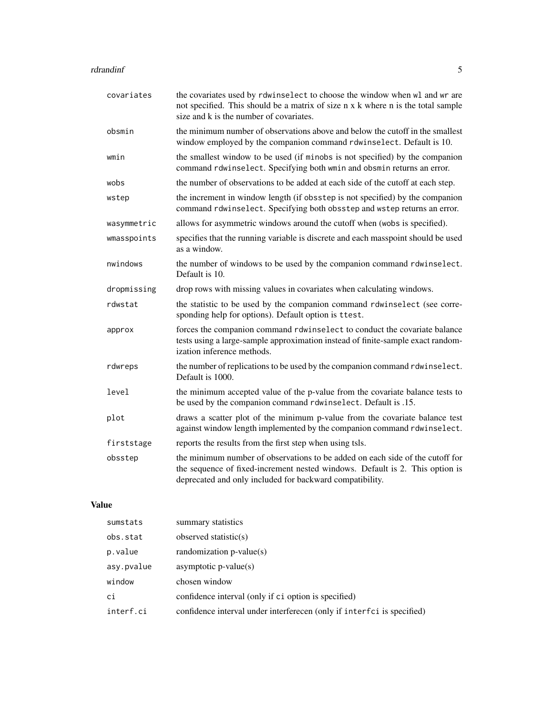#### rdrandinf 5

| covariates  | the covariates used by rdwinselect to choose the window when wl and wr are<br>not specified. This should be a matrix of size n x k where n is the total sample<br>size and k is the number of covariates.                 |
|-------------|---------------------------------------------------------------------------------------------------------------------------------------------------------------------------------------------------------------------------|
| obsmin      | the minimum number of observations above and below the cutoff in the smallest<br>window employed by the companion command rdwinselect. Default is 10.                                                                     |
| wmin        | the smallest window to be used (if minobs is not specified) by the companion<br>command rdwinselect. Specifying both wmin and obsmin returns an error.                                                                    |
| wobs        | the number of observations to be added at each side of the cutoff at each step.                                                                                                                                           |
| wstep       | the increment in window length (if obsstep is not specified) by the companion<br>command rdwinselect. Specifying both obsstep and wstep returns an error.                                                                 |
| wasymmetric | allows for asymmetric windows around the cutoff when (wobs is specified).                                                                                                                                                 |
| wmasspoints | specifies that the running variable is discrete and each masspoint should be used<br>as a window.                                                                                                                         |
| nwindows    | the number of windows to be used by the companion command rdwinselect.<br>Default is 10.                                                                                                                                  |
| dropmissing | drop rows with missing values in covariates when calculating windows.                                                                                                                                                     |
| rdwstat     | the statistic to be used by the companion command rdwinselect (see corre-<br>sponding help for options). Default option is ttest.                                                                                         |
| approx      | forces the companion command rdwinselect to conduct the covariate balance<br>tests using a large-sample approximation instead of finite-sample exact random-<br>ization inference methods.                                |
| rdwreps     | the number of replications to be used by the companion command rdwinselect.<br>Default is 1000.                                                                                                                           |
| level       | the minimum accepted value of the p-value from the covariate balance tests to<br>be used by the companion command rdwinselect. Default is .15.                                                                            |
| plot        | draws a scatter plot of the minimum p-value from the covariate balance test<br>against window length implemented by the companion command rdwinselect.                                                                    |
| firststage  | reports the results from the first step when using tsls.                                                                                                                                                                  |
| obsstep     | the minimum number of observations to be added on each side of the cutoff for<br>the sequence of fixed-increment nested windows. Default is 2. This option is<br>deprecated and only included for backward compatibility. |
|             |                                                                                                                                                                                                                           |

## Value

| sumstats   | summary statistics                                                     |
|------------|------------------------------------------------------------------------|
| obs.stat   | observed statistic( $s$ )                                              |
| p.value    | randomization $p$ -value $(s)$                                         |
| asy.pvalue | asymptotic $p$ -value $(s)$                                            |
| window     | chosen window                                                          |
| ci         | confidence interval (only if ci option is specified)                   |
| interf.ci  | confidence interval under interferecen (only if interfci is specified) |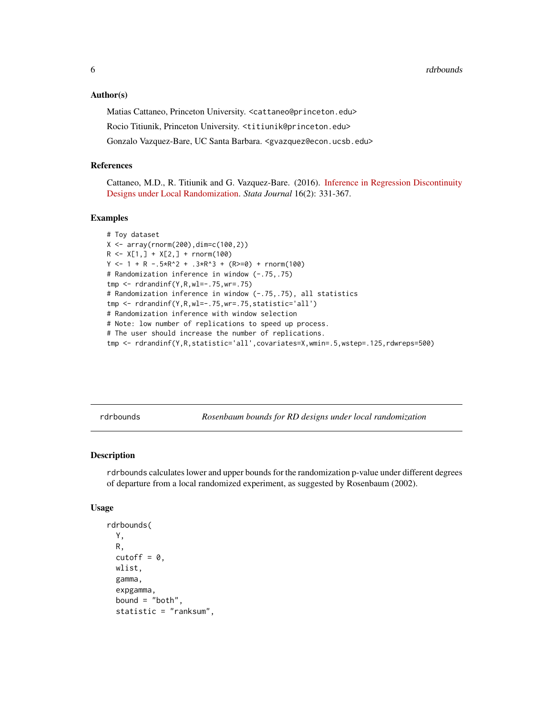#### <span id="page-5-0"></span>Author(s)

Matias Cattaneo, Princeton University. <cattaneo@princeton.edu> Rocio Titiunik, Princeton University. <titiunik@princeton.edu> Gonzalo Vazquez-Bare, UC Santa Barbara. <gvazquez@econ.ucsb.edu>

#### References

Cattaneo, M.D., R. Titiunik and G. Vazquez-Bare. (2016). [Inference in Regression Discontinuity](https://rdpackages.github.io/references/Cattaneo-Titiunik-VazquezBare_2016_Stata.pdf) [Designs under Local Randomization.](https://rdpackages.github.io/references/Cattaneo-Titiunik-VazquezBare_2016_Stata.pdf) *Stata Journal* 16(2): 331-367.

#### Examples

```
# Toy dataset
X \leftarrow \text{array}(rnorm(200), \text{dim} = c(100, 2))R \leq X[1,] + X[2,] + \text{rnorm}(100)Y \le -1 + R - .5 \times R^2 + .3 \times R^3 + (R \ge 0) + rnorm(100)# Randomization inference in window (-.75,.75)
tmp <- rdrandinf(Y,R,wl=-.75,wr=.75)
# Randomization inference in window (-.75,.75), all statistics
tmp <- rdrandinf(Y,R,wl=-.75,wr=.75,statistic='all')
# Randomization inference with window selection
# Note: low number of replications to speed up process.
# The user should increase the number of replications.
tmp <- rdrandinf(Y,R,statistic='all',covariates=X,wmin=.5,wstep=.125,rdwreps=500)
```
<span id="page-5-1"></span>rdrbounds *Rosenbaum bounds for RD designs under local randomization*

#### Description

rdrbounds calculates lower and upper bounds for the randomization p-value under different degrees of departure from a local randomized experiment, as suggested by Rosenbaum (2002).

#### Usage

```
rdrbounds(
  Y,
 R,
  cutoff = 0,
 wlist,
  gamma,
  expgamma,
  bound = "both",
  statistic = "ranksum",
```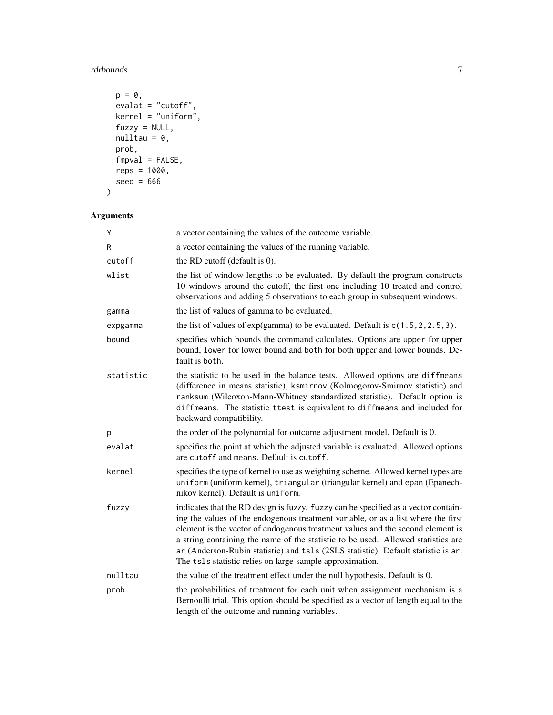## rdrbounds 7

```
p = 0,
 evalat = "cutoff",kernel = "uniform",
 fuzzy = NULL,
 nulltau = 0,
 prob,
 fmpval = FALSE,
 reps = 1000,
 seed = 666)
```

| Y         | a vector containing the values of the outcome variable.                                                                                                                                                                                                                                                                                                                                                                                                                                        |
|-----------|------------------------------------------------------------------------------------------------------------------------------------------------------------------------------------------------------------------------------------------------------------------------------------------------------------------------------------------------------------------------------------------------------------------------------------------------------------------------------------------------|
| R         | a vector containing the values of the running variable.                                                                                                                                                                                                                                                                                                                                                                                                                                        |
| cutoff    | the RD cutoff (default is 0).                                                                                                                                                                                                                                                                                                                                                                                                                                                                  |
| wlist     | the list of window lengths to be evaluated. By default the program constructs<br>10 windows around the cutoff, the first one including 10 treated and control<br>observations and adding 5 observations to each group in subsequent windows.                                                                                                                                                                                                                                                   |
| gamma     | the list of values of gamma to be evaluated.                                                                                                                                                                                                                                                                                                                                                                                                                                                   |
| expgamma  | the list of values of $exp(gamma)$ to be evaluated. Default is $c(1.5, 2, 2.5, 3)$ .                                                                                                                                                                                                                                                                                                                                                                                                           |
| bound     | specifies which bounds the command calculates. Options are upper for upper<br>bound, lower for lower bound and both for both upper and lower bounds. De-<br>fault is both.                                                                                                                                                                                                                                                                                                                     |
| statistic | the statistic to be used in the balance tests. Allowed options are diffmeans<br>(difference in means statistic), ksmirnov (Kolmogorov-Smirnov statistic) and<br>ranksum (Wilcoxon-Mann-Whitney standardized statistic). Default option is<br>diffmeans. The statistic ttest is equivalent to diffmeans and included for<br>backward compatibility.                                                                                                                                             |
| p         | the order of the polynomial for outcome adjustment model. Default is 0.                                                                                                                                                                                                                                                                                                                                                                                                                        |
| evalat    | specifies the point at which the adjusted variable is evaluated. Allowed options<br>are cutoff and means. Default is cutoff.                                                                                                                                                                                                                                                                                                                                                                   |
| kernel    | specifies the type of kernel to use as weighting scheme. Allowed kernel types are<br>uniform (uniform kernel), triangular (triangular kernel) and epan (Epanech-<br>nikov kernel). Default is uniform.                                                                                                                                                                                                                                                                                         |
| fuzzy     | indicates that the RD design is fuzzy. fuzzy can be specified as a vector contain-<br>ing the values of the endogenous treatment variable, or as a list where the first<br>element is the vector of endogenous treatment values and the second element is<br>a string containing the name of the statistic to be used. Allowed statistics are<br>ar (Anderson-Rubin statistic) and ts1s (2SLS statistic). Default statistic is ar.<br>The tsls statistic relies on large-sample approximation. |
| nulltau   | the value of the treatment effect under the null hypothesis. Default is 0.                                                                                                                                                                                                                                                                                                                                                                                                                     |
| prob      | the probabilities of treatment for each unit when assignment mechanism is a<br>Bernoulli trial. This option should be specified as a vector of length equal to the<br>length of the outcome and running variables.                                                                                                                                                                                                                                                                             |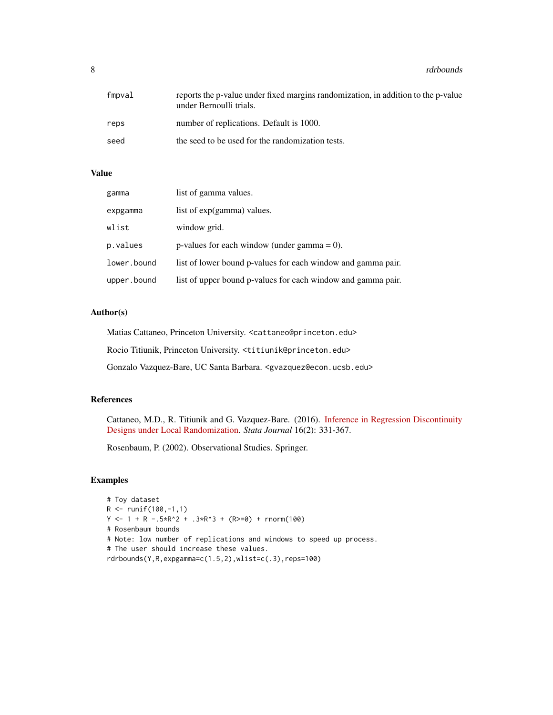8 rdrbounds and the contract of the contract of the contract of the contract of the contract of the contract of the contract of the contract of the contract of the contract of the contract of the contract of the contract o

| fmpval | reports the p-value under fixed margins randomization, in addition to the p-value<br>under Bernoulli trials. |
|--------|--------------------------------------------------------------------------------------------------------------|
| reps   | number of replications. Default is 1000.                                                                     |
| seed   | the seed to be used for the randomization tests.                                                             |

#### Value

| gamma       | list of gamma values.                                        |
|-------------|--------------------------------------------------------------|
| expgamma    | list of exp(gamma) values.                                   |
| wlist       | window grid.                                                 |
| p.values    | p-values for each window (under gamma $= 0$ ).               |
| lower.bound | list of lower bound p-values for each window and gamma pair. |
| upper.bound | list of upper bound p-values for each window and gamma pair. |

#### Author(s)

Matias Cattaneo, Princeton University. <cattaneo@princeton.edu>

Rocio Titiunik, Princeton University. <titiunik@princeton.edu>

Gonzalo Vazquez-Bare, UC Santa Barbara. <gvazquez@econ.ucsb.edu>

#### References

Cattaneo, M.D., R. Titiunik and G. Vazquez-Bare. (2016). [Inference in Regression Discontinuity](https://rdpackages.github.io/references/Cattaneo-Titiunik-VazquezBare_2016_Stata.pdf) [Designs under Local Randomization.](https://rdpackages.github.io/references/Cattaneo-Titiunik-VazquezBare_2016_Stata.pdf) *Stata Journal* 16(2): 331-367.

Rosenbaum, P. (2002). Observational Studies. Springer.

#### Examples

```
# Toy dataset
R <- runif(100,-1,1)
Y \le -1 + R - .5 \times R^2 + .3 \times R^3 + (R \ge 0) + rnorm(100)# Rosenbaum bounds
# Note: low number of replications and windows to speed up process.
# The user should increase these values.
rdrbounds(Y,R,expgamma=c(1.5,2),wlist=c(.3),reps=100)
```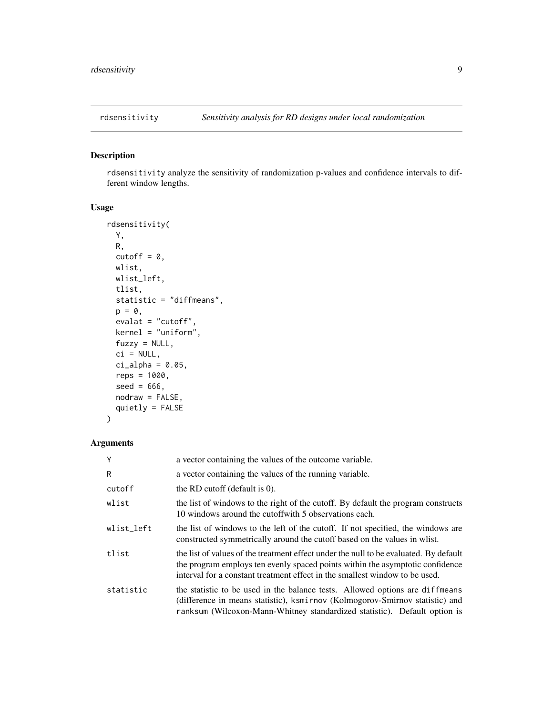<span id="page-8-1"></span><span id="page-8-0"></span>

#### Description

rdsensitivity analyze the sensitivity of randomization p-values and confidence intervals to different window lengths.

#### Usage

```
rdsensitivity(
 Y,
 R,
 cutoff = \theta,
 wlist,
 wlist_left,
 tlist,
  statistic = "diffmeans",
 p = 0,
 evalat = "cutoff",
 kernel = "uniform",
 fuzzy = NULL,
 ci = NULL,ci<sup>2</sup>lpha = 0.05,
 reps = 1000,
 seed = 666,
 nodraw = FALSE,
 quietly = FALSE
)
```

| Y          | a vector containing the values of the outcome variable.                                                                                                                                                                                               |
|------------|-------------------------------------------------------------------------------------------------------------------------------------------------------------------------------------------------------------------------------------------------------|
| R          | a vector containing the values of the running variable.                                                                                                                                                                                               |
| cutoff     | the RD cutoff (default is $0$ ).                                                                                                                                                                                                                      |
| wlist      | the list of windows to the right of the cutoff. By default the program constructs<br>10 windows around the cutoffwith 5 observations each.                                                                                                            |
| wlist left | the list of windows to the left of the cutoff. If not specified, the windows are<br>constructed symmetrically around the cutoff based on the values in wlist.                                                                                         |
| tlist      | the list of values of the treatment effect under the null to be evaluated. By default<br>the program employs ten evenly spaced points within the asymptotic confidence<br>interval for a constant treatment effect in the smallest window to be used. |
| statistic  | the statistic to be used in the balance tests. Allowed options are diffmeans<br>(difference in means statistic), ksmirnov (Kolmogorov-Smirnov statistic) and<br>ranksum (Wilcoxon-Mann-Whitney standardized statistic). Default option is             |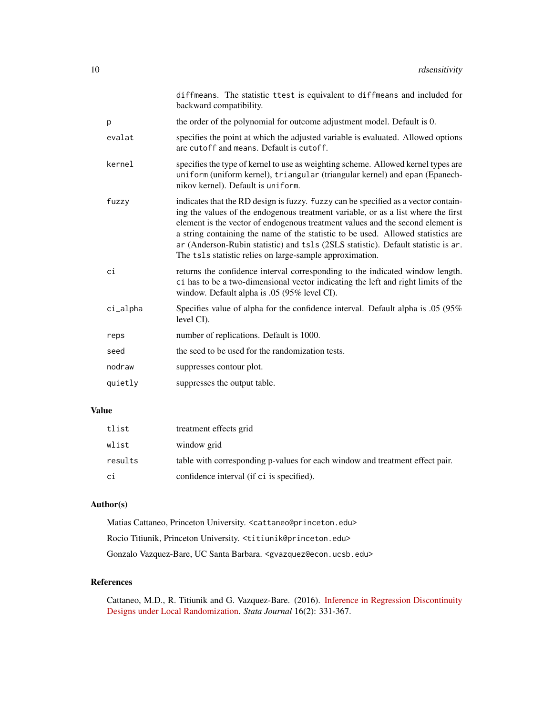|          | diffmeans. The statistic ttest is equivalent to diffmeans and included for<br>backward compatibility.                                                                                                                                                                                                                                                                                                                                                                                          |
|----------|------------------------------------------------------------------------------------------------------------------------------------------------------------------------------------------------------------------------------------------------------------------------------------------------------------------------------------------------------------------------------------------------------------------------------------------------------------------------------------------------|
| p        | the order of the polynomial for outcome adjustment model. Default is 0.                                                                                                                                                                                                                                                                                                                                                                                                                        |
| evalat   | specifies the point at which the adjusted variable is evaluated. Allowed options<br>are cutoff and means. Default is cutoff.                                                                                                                                                                                                                                                                                                                                                                   |
| kernel   | specifies the type of kernel to use as weighting scheme. Allowed kernel types are<br>uniform (uniform kernel), triangular (triangular kernel) and epan (Epanech-<br>nikov kernel). Default is uniform.                                                                                                                                                                                                                                                                                         |
| fuzzy    | indicates that the RD design is fuzzy. fuzzy can be specified as a vector contain-<br>ing the values of the endogenous treatment variable, or as a list where the first<br>element is the vector of endogenous treatment values and the second element is<br>a string containing the name of the statistic to be used. Allowed statistics are<br>ar (Anderson-Rubin statistic) and tsls (2SLS statistic). Default statistic is ar.<br>The tsls statistic relies on large-sample approximation. |
| сi       | returns the confidence interval corresponding to the indicated window length.<br>ci has to be a two-dimensional vector indicating the left and right limits of the<br>window. Default alpha is .05 (95% level CI).                                                                                                                                                                                                                                                                             |
| ci_alpha | Specifies value of alpha for the confidence interval. Default alpha is .05 (95%)<br>level CI.                                                                                                                                                                                                                                                                                                                                                                                                  |
| reps     | number of replications. Default is 1000.                                                                                                                                                                                                                                                                                                                                                                                                                                                       |
| seed     | the seed to be used for the randomization tests.                                                                                                                                                                                                                                                                                                                                                                                                                                               |
| nodraw   | suppresses contour plot.                                                                                                                                                                                                                                                                                                                                                                                                                                                                       |
| quietly  | suppresses the output table.                                                                                                                                                                                                                                                                                                                                                                                                                                                                   |
|          |                                                                                                                                                                                                                                                                                                                                                                                                                                                                                                |

#### Value

| tlist   | treatment effects grid                                                       |
|---------|------------------------------------------------------------------------------|
| wlist   | window grid                                                                  |
| results | table with corresponding p-values for each window and treatment effect pair. |
| сi      | confidence interval (if ci is specified).                                    |

#### Author(s)

Matias Cattaneo, Princeton University. <cattaneo@princeton.edu> Rocio Titiunik, Princeton University. <titiunik@princeton.edu> Gonzalo Vazquez-Bare, UC Santa Barbara. <gvazquez@econ.ucsb.edu>

#### References

Cattaneo, M.D., R. Titiunik and G. Vazquez-Bare. (2016). [Inference in Regression Discontinuity](https://rdpackages.github.io/references/Cattaneo-Titiunik-VazquezBare_2016_Stata.pdf) [Designs under Local Randomization.](https://rdpackages.github.io/references/Cattaneo-Titiunik-VazquezBare_2016_Stata.pdf) *Stata Journal* 16(2): 331-367.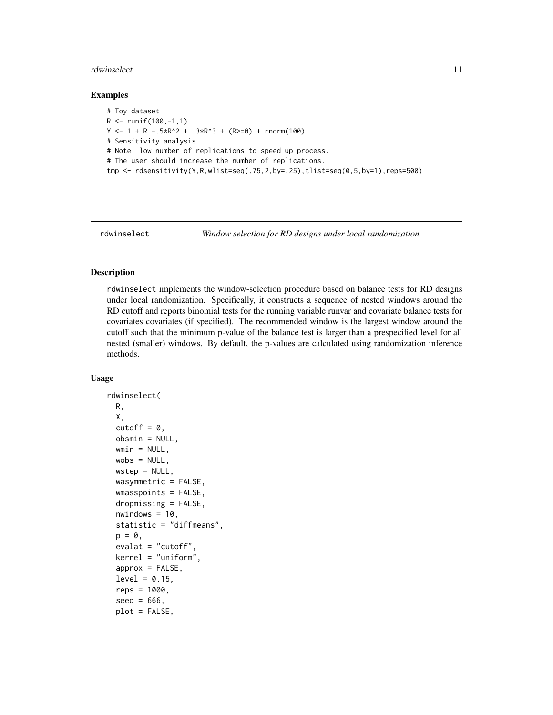#### <span id="page-10-0"></span>rdwinselect 11

#### Examples

```
# Toy dataset
R <- runif(100,-1,1)
Y \le -1 + R - .5 \times R^2 + .3 \times R^3 + (R \ge 0) + \text{norm}(100)# Sensitivity analysis
# Note: low number of replications to speed up process.
# The user should increase the number of replications.
tmp \leq rdsensitivity(Y,R,wlist=seq(.75,2,by=.25),tlist=seq(0,5,by=1),reps=500)
```
<span id="page-10-1"></span>

rdwinselect *Window selection for RD designs under local randomization*

#### Description

rdwinselect implements the window-selection procedure based on balance tests for RD designs under local randomization. Specifically, it constructs a sequence of nested windows around the RD cutoff and reports binomial tests for the running variable runvar and covariate balance tests for covariates covariates (if specified). The recommended window is the largest window around the cutoff such that the minimum p-value of the balance test is larger than a prespecified level for all nested (smaller) windows. By default, the p-values are calculated using randomization inference methods.

#### Usage

```
rdwinselect(
 R,
 X,
 cutoff = \theta,
 obsmin = NULL,
 wmin = NULL,wobs = NULL,
 wstep = NULL,
 wasymmetric = FALSE,
 wmasspoints = FALSE,
  dropmissing = FALSE,
  nwindown = 10,
  statistic = "diffmeans",
 p = 0,
  evalat = "cutoff",
  kernel = "uniform",
  approx = FALSE,
  level = 0.15,
  reps = 1000,seed = 666,
  plot = FALSE,
```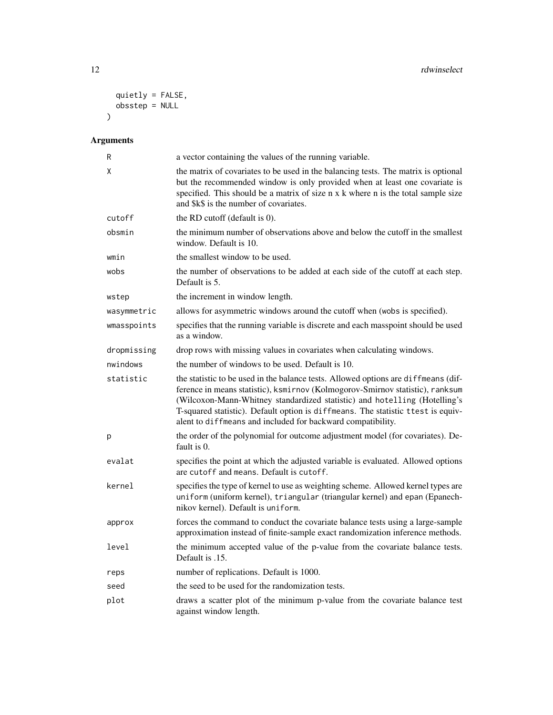```
quietly = FALSE,
   obsstep = NULL
\lambda
```

| R           | a vector containing the values of the running variable.                                                                                                                                                                                                                                                                                                                                             |
|-------------|-----------------------------------------------------------------------------------------------------------------------------------------------------------------------------------------------------------------------------------------------------------------------------------------------------------------------------------------------------------------------------------------------------|
| X           | the matrix of covariates to be used in the balancing tests. The matrix is optional<br>but the recommended window is only provided when at least one covariate is<br>specified. This should be a matrix of size n x k where n is the total sample size<br>and \$k\$ is the number of covariates.                                                                                                     |
| cutoff      | the RD cutoff (default is 0).                                                                                                                                                                                                                                                                                                                                                                       |
| obsmin      | the minimum number of observations above and below the cutoff in the smallest<br>window. Default is 10.                                                                                                                                                                                                                                                                                             |
| wmin        | the smallest window to be used.                                                                                                                                                                                                                                                                                                                                                                     |
| wobs        | the number of observations to be added at each side of the cutoff at each step.<br>Default is 5.                                                                                                                                                                                                                                                                                                    |
| wstep       | the increment in window length.                                                                                                                                                                                                                                                                                                                                                                     |
| wasymmetric | allows for asymmetric windows around the cutoff when (wobs is specified).                                                                                                                                                                                                                                                                                                                           |
| wmasspoints | specifies that the running variable is discrete and each masspoint should be used<br>as a window.                                                                                                                                                                                                                                                                                                   |
| dropmissing | drop rows with missing values in covariates when calculating windows.                                                                                                                                                                                                                                                                                                                               |
| nwindows    | the number of windows to be used. Default is 10.                                                                                                                                                                                                                                                                                                                                                    |
| statistic   | the statistic to be used in the balance tests. Allowed options are diffmeans (dif-<br>ference in means statistic), ksmirnov (Kolmogorov-Smirnov statistic), ranksum<br>(Wilcoxon-Mann-Whitney standardized statistic) and hotelling (Hotelling's<br>T-squared statistic). Default option is diffmeans. The statistic ttest is equiv-<br>alent to diffmeans and included for backward compatibility. |
| р           | the order of the polynomial for outcome adjustment model (for covariates). De-<br>fault is 0.                                                                                                                                                                                                                                                                                                       |
| evalat      | specifies the point at which the adjusted variable is evaluated. Allowed options<br>are cutoff and means. Default is cutoff.                                                                                                                                                                                                                                                                        |
| kernel      | specifies the type of kernel to use as weighting scheme. Allowed kernel types are<br>uniform (uniform kernel), triangular (triangular kernel) and epan (Epanech-<br>nikov kernel). Default is uniform.                                                                                                                                                                                              |
| approx      | forces the command to conduct the covariate balance tests using a large-sample<br>approximation instead of finite-sample exact randomization inference methods.                                                                                                                                                                                                                                     |
| level       | the minimum accepted value of the p-value from the covariate balance tests.<br>Default is .15.                                                                                                                                                                                                                                                                                                      |
| reps        | number of replications. Default is 1000.                                                                                                                                                                                                                                                                                                                                                            |
| seed        | the seed to be used for the randomization tests.                                                                                                                                                                                                                                                                                                                                                    |
| plot        | draws a scatter plot of the minimum p-value from the covariate balance test<br>against window length.                                                                                                                                                                                                                                                                                               |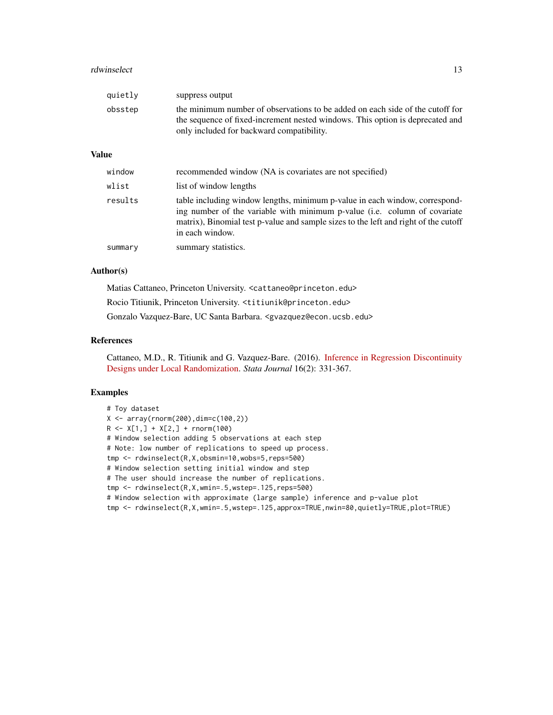#### rdwinselect 13

| quietly | suppress output                                                                                                                                                                                             |
|---------|-------------------------------------------------------------------------------------------------------------------------------------------------------------------------------------------------------------|
| obsstep | the minimum number of observations to be added on each side of the cutoff for<br>the sequence of fixed-increment nested windows. This option is deprecated and<br>only included for backward compatibility. |

#### Value

| window  | recommended window (NA is covariates are not specified)                                                                                                                                                                                                            |
|---------|--------------------------------------------------------------------------------------------------------------------------------------------------------------------------------------------------------------------------------------------------------------------|
| wlist   | list of window lengths                                                                                                                                                                                                                                             |
| results | table including window lengths, minimum p-value in each window, correspond-<br>ing number of the variable with minimum p-value (i.e. column of covariate<br>matrix), Binomial test p-value and sample sizes to the left and right of the cutoff<br>in each window. |
| summary | summary statistics.                                                                                                                                                                                                                                                |

#### Author(s)

Matias Cattaneo, Princeton University. <cattaneo@princeton.edu> Rocio Titiunik, Princeton University. <titiunik@princeton.edu> Gonzalo Vazquez-Bare, UC Santa Barbara. <gvazquez@econ.ucsb.edu>

#### References

Cattaneo, M.D., R. Titiunik and G. Vazquez-Bare. (2016). [Inference in Regression Discontinuity](https://rdpackages.github.io/references/Cattaneo-Titiunik-VazquezBare_2016_Stata.pdf) [Designs under Local Randomization.](https://rdpackages.github.io/references/Cattaneo-Titiunik-VazquezBare_2016_Stata.pdf) *Stata Journal* 16(2): 331-367.

#### Examples

```
# Toy dataset
X \leftarrow \text{array}(rnorm(200), \text{dim} = c(100, 2))R \leq X[1,] + X[2,] + \text{rnorm}(100)# Window selection adding 5 observations at each step
# Note: low number of replications to speed up process.
tmp <- rdwinselect(R,X,obsmin=10,wobs=5,reps=500)
# Window selection setting initial window and step
# The user should increase the number of replications.
tmp <- rdwinselect(R,X,wmin=.5,wstep=.125,reps=500)
# Window selection with approximate (large sample) inference and p-value plot
tmp <- rdwinselect(R,X,wmin=.5,wstep=.125,approx=TRUE,nwin=80,quietly=TRUE,plot=TRUE)
```